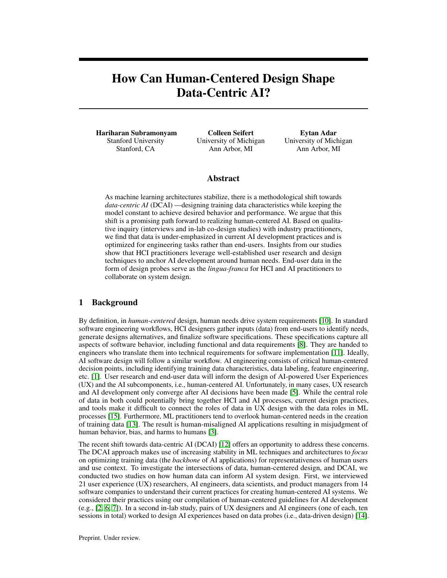# How Can Human-Centered Design Shape Data-Centric AI?

Hariharan Subramonyam Stanford University Stanford, CA

Colleen Seifert University of Michigan Ann Arbor, MI

Eytan Adar University of Michigan Ann Arbor, MI

#### Abstract

As machine learning architectures stabilize, there is a methodological shift towards *data-centric AI* (DCAI) —designing training data characteristics while keeping the model constant to achieve desired behavior and performance. We argue that this shift is a promising path forward to realizing human-centered AI. Based on qualitative inquiry (interviews and in-lab co-design studies) with industry practitioners, we find that data is under-emphasized in current AI development practices and is optimized for engineering tasks rather than end-users. Insights from our studies show that HCI practitioners leverage well-established user research and design techniques to anchor AI development around human needs. End-user data in the form of design probes serve as the *lingua-franca* for HCI and AI practitioners to collaborate on system design.

### 1 Background

By definition, in *human-centered* design, human needs drive system requirements [\[10\]](#page-2-0). In standard software engineering workflows, HCI designers gather inputs (data) from end-users to identify needs, generate designs alternatives, and finalize software specifications. These specifications capture all aspects of software behavior, including functional and data requirements [\[8\]](#page-2-1). They are handed to engineers who translate them into technical requirements for software implementation [\[11\]](#page-2-2). Ideally, AI software design will follow a similar workflow. AI engineering consists of critical human-centered decision points, including identifying training data characteristics, data labeling, feature engineering, etc. [\[1\]](#page-2-3). User research and end-user data will inform the design of AI-powered User Experiences (UX) and the AI subcomponents, i.e., human-centered AI. Unfortunately, in many cases, UX research and AI development only converge after AI decisions have been made [\[5\]](#page-2-4). While the central role of data in both could potentially bring together HCI and AI processes, current design practices, and tools make it difficult to connect the roles of data in UX design with the data roles in ML processes [\[15\]](#page-2-5). Furthermore, ML practitioners tend to overlook human-centered needs in the creation of training data [\[13\]](#page-2-6). The result is human-misaligned AI applications resulting in misjudgment of human behavior, bias, and harms to humans [\[3\]](#page-2-7).

The recent shift towards data-centric AI (DCAI) [\[12\]](#page-2-8) offers an opportunity to address these concerns. The DCAI approach makes use of increasing stability in ML techniques and architectures to *focus* on optimizing training data (the *backbone* of AI applications) for representativeness of human users and use context. To investigate the intersections of data, human-centered design, and DCAI, we conducted two studies on how human data can inform AI system design. First, we interviewed 21 user experience (UX) researchers, AI engineers, data scientists, and product managers from 14 software companies to understand their current practices for creating human-centered AI systems. We considered their practices using our compilation of human-centered guidelines for AI development (e.g., [\[2,](#page-2-9) [6,](#page-2-10) [7\]](#page-2-11)). In a second in-lab study, pairs of UX designers and AI engineers (one of each, ten sessions in total) worked to design AI experiences based on data probes (i.e., data-driven design) [\[14\]](#page-2-12).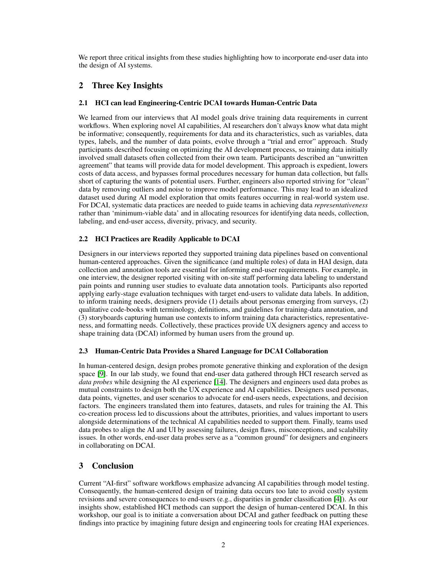We report three critical insights from these studies highlighting how to incorporate end-user data into the design of AI systems.

# 2 Three Key Insights

#### 2.1 HCI can lead Engineering-Centric DCAI towards Human-Centric Data

We learned from our interviews that AI model goals drive training data requirements in current workflows. When exploring novel AI capabilities, AI researchers don't always know what data might be informative; consequently, requirements for data and its characteristics, such as variables, data types, labels, and the number of data points, evolve through a "trial and error" approach. Study participants described focusing on optimizing the AI development process, so training data initially involved small datasets often collected from their own team. Participants described an "unwritten agreement" that teams will provide data for model development. This approach is expedient, lowers costs of data access, and bypasses formal procedures necessary for human data collection, but falls short of capturing the wants of potential users. Further, engineers also reported striving for "clean" data by removing outliers and noise to improve model performance. This may lead to an idealized dataset used during AI model exploration that omits features occurring in real-world system use. For DCAI, systematic data practices are needed to guide teams in achieving data *representativeness* rather than 'minimum-viable data' and in allocating resources for identifying data needs, collection, labeling, and end-user access, diversity, privacy, and security.

#### 2.2 HCI Practices are Readily Applicable to DCAI

Designers in our interviews reported they supported training data pipelines based on conventional human-centered approaches. Given the significance (and multiple roles) of data in HAI design, data collection and annotation tools are essential for informing end-user requirements. For example, in one interview, the designer reported visiting with on-site staff performing data labeling to understand pain points and running user studies to evaluate data annotation tools. Participants also reported applying early-stage evaluation techniques with target end-users to validate data labels. In addition, to inform training needs, designers provide (1) details about personas emerging from surveys, (2) qualitative code-books with terminology, definitions, and guidelines for training-data annotation, and (3) storyboards capturing human use contexts to inform training data characteristics, representativeness, and formatting needs. Collectively, these practices provide UX designers agency and access to shape training data (DCAI) informed by human users from the ground up.

#### 2.3 Human-Centric Data Provides a Shared Language for DCAI Collaboration

In human-centered design, design probes promote generative thinking and exploration of the design space [\[9\]](#page-2-13). In our lab study, we found that end-user data gathered through HCI research served as *data probes* while designing the AI experience [\[14\]](#page-2-12). The designers and engineers used data probes as mutual constraints to design both the UX experience and AI capabilities. Designers used personas, data points, vignettes, and user scenarios to advocate for end-users needs, expectations, and decision factors. The engineers translated them into features, datasets, and rules for training the AI. This co-creation process led to discussions about the attributes, priorities, and values important to users alongside determinations of the technical AI capabilities needed to support them. Finally, teams used data probes to align the AI and UI by assessing failures, design flaws, misconceptions, and scalability issues. In other words, end-user data probes serve as a "common ground" for designers and engineers in collaborating on DCAI.

## 3 Conclusion

Current "AI-first" software workflows emphasize advancing AI capabilities through model testing. Consequently, the human-centered design of training data occurs too late to avoid costly system revisions and severe consequences to end-users (e.g., disparities in gender classification [\[4\]](#page-2-14)). As our insights show, established HCI methods can support the design of human-centered DCAI. In this workshop, our goal is to initiate a conversation about DCAI and gather feedback on putting these findings into practice by imagining future design and engineering tools for creating HAI experiences.